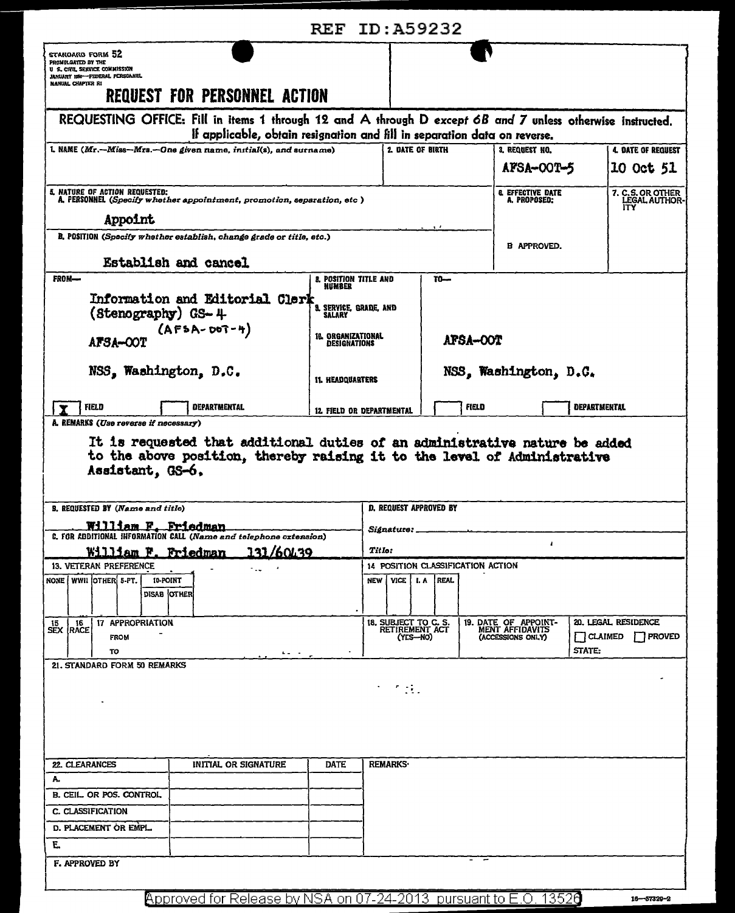|                                                                                                                                                                                         |                                                  | <b>REF ID: A59232</b>                              |                                    |                                          |                                                              |            |                                          |                                        |  |
|-----------------------------------------------------------------------------------------------------------------------------------------------------------------------------------------|--------------------------------------------------|----------------------------------------------------|------------------------------------|------------------------------------------|--------------------------------------------------------------|------------|------------------------------------------|----------------------------------------|--|
| staroard form 52<br>PROMULGATED BY THE<br>U S. CIVIL, SERVICE COMMISSION<br>JANUARY 1950-FEDERAL PERSONNEL<br>NANUAL CHAPTER RI                                                         |                                                  |                                                    |                                    |                                          |                                                              |            |                                          |                                        |  |
| <b>REQUEST FOR PERSONNEL ACTION</b>                                                                                                                                                     |                                                  |                                                    |                                    |                                          |                                                              |            |                                          |                                        |  |
| REQUESTING OFFICE: Fill in items 1 through 12 and A through D except 6B and 7 unless otherwise instructed.<br>If applicable, obtain resignation and fill in separation data on reverse. |                                                  |                                                    |                                    |                                          |                                                              |            |                                          |                                        |  |
| 1. NAME (Mr.--Miss--Mrs.--One given name, initial(s), and surname)                                                                                                                      |                                                  |                                                    | 2. DATE OF BIRTH<br>3. REQUEST NO. |                                          |                                                              |            |                                          | <b>4. DATE OF REQUEST</b>              |  |
|                                                                                                                                                                                         |                                                  |                                                    |                                    |                                          |                                                              | AFSA-OOT-5 |                                          |                                        |  |
| 5. NATURE OF ACTION REQUESTED:<br>A. PERSONNEL (Specify whether appointment, promotion, separation, etc )                                                                               |                                                  |                                                    |                                    | <b>8. EFFECTIVE DATE</b><br>A. PROPOSED: |                                                              |            | 7. C.S. OR OTHER<br>LEGAL AUTHOR-<br>ITY |                                        |  |
| Appoint                                                                                                                                                                                 |                                                  |                                                    |                                    |                                          |                                                              |            |                                          |                                        |  |
| B. POSITION (Specify whether establish, change grade or title, etc.)                                                                                                                    |                                                  | <b>B APPROVED.</b>                                 |                                    |                                          |                                                              |            |                                          |                                        |  |
| Establish and cancel                                                                                                                                                                    |                                                  |                                                    |                                    |                                          |                                                              |            |                                          |                                        |  |
| FROM-                                                                                                                                                                                   | 8. POSITION TITLE AND<br><b>NUMBER</b>           |                                                    | $T0-$                              |                                          |                                                              |            |                                          |                                        |  |
| Information and Editorial Clerk<br>(Stenography) GS-4                                                                                                                                   | 3. SERVICE, GRADE, AND<br>SALARY                 |                                                    |                                    |                                          |                                                              |            |                                          |                                        |  |
| $(AFSA-OOT-4)$<br><b>AFSA-COT</b>                                                                                                                                                       | <b>18. ORGANIZATIONAL</b><br><b>DESIGNATIONS</b> |                                                    | <b>AFSA-OOT</b>                    |                                          |                                                              |            |                                          |                                        |  |
| NSS, Washington, D.C.                                                                                                                                                                   |                                                  |                                                    |                                    | NSS, Washington, D.C.                    |                                                              |            |                                          |                                        |  |
|                                                                                                                                                                                         | <b>11. HEADQUARTERS</b>                          |                                                    |                                    |                                          |                                                              |            |                                          |                                        |  |
| FIELD<br><b>DEPARTMENTAL</b><br>A. REMARKS (Use reverse if necessary)                                                                                                                   | 12. FIELD OR DEPARTMENTAL                        |                                                    |                                    | FIELD                                    |                                                              |            | <b>DEPARTMENTAL</b>                      |                                        |  |
| It is requested that additional duties of an administrative nature be added<br>to the above position, thereby raising it to the level of Administrative<br>Assistant, GS-6,             |                                                  |                                                    |                                    |                                          |                                                              |            |                                          |                                        |  |
| B. REQUESTED BY (Name and title)                                                                                                                                                        |                                                  | D. REQUEST APPROVED BY                             |                                    |                                          |                                                              |            |                                          |                                        |  |
| William F. Friedman<br>C. FOR ADDITIONAL INFORMATION CALL (Name and telephone oxtension)                                                                                                |                                                  | Signature:                                         |                                    |                                          |                                                              |            |                                          |                                        |  |
| <b>721/60120</b><br>William F. Friedman                                                                                                                                                 |                                                  | 4<br>Title:<br>14 POSITION CLASSIFICATION ACTION   |                                    |                                          |                                                              |            |                                          |                                        |  |
| 13. VETERAN PREFERENCE<br>$\bullet$<br>- 14                                                                                                                                             |                                                  |                                                    |                                    |                                          |                                                              |            |                                          |                                        |  |
| NONE   WWII OTHER 5-PT.<br>10-POINT<br>DISAB OTHER                                                                                                                                      |                                                  | <b>VICE</b><br><b>I.A</b><br><b>NEW</b>            | <b>REAL</b>                        |                                          |                                                              |            |                                          |                                        |  |
|                                                                                                                                                                                         |                                                  |                                                    |                                    |                                          |                                                              |            |                                          |                                        |  |
| 17 APPROPRIATION<br>16<br>15<br><b>SEX RACE</b><br><b>FROM</b><br>TO<br>$\mathbf{A}=\mathbf{A}+\mathbf{A}$                                                                              |                                                  | 18. SUBJECT TO C. S.<br>RETIREMENT ACT<br>(YES-NO) |                                    |                                          | 19. DATE OF APPOINT-<br>MENT AFFIDAVITS<br>(ACCESSIONS ONLY) |            | $\Box$ CLAIMED<br>STATE:                 | 20. LEGAL RESIDENCE<br><b>T</b> PROVED |  |
| 21. STANDARD FORM 50 REMARKS                                                                                                                                                            |                                                  |                                                    |                                    |                                          |                                                              |            |                                          |                                        |  |
|                                                                                                                                                                                         |                                                  | $\sim 100$ m $^{-1}$                               |                                    |                                          |                                                              |            |                                          |                                        |  |
|                                                                                                                                                                                         |                                                  |                                                    |                                    |                                          |                                                              |            |                                          |                                        |  |
|                                                                                                                                                                                         |                                                  |                                                    |                                    |                                          |                                                              |            |                                          |                                        |  |
|                                                                                                                                                                                         |                                                  |                                                    |                                    |                                          |                                                              |            |                                          |                                        |  |
| 22. CLEARANCES<br>INITIAL OR SIGNATURE                                                                                                                                                  | DATE                                             | <b>REMARKS</b>                                     |                                    |                                          |                                                              |            |                                          |                                        |  |
| А.                                                                                                                                                                                      |                                                  |                                                    |                                    |                                          |                                                              |            |                                          |                                        |  |
| B. CEIL. OR POS. CONTROL                                                                                                                                                                |                                                  |                                                    |                                    |                                          |                                                              |            |                                          |                                        |  |
| C. CLASSIFICATION                                                                                                                                                                       |                                                  |                                                    |                                    |                                          |                                                              |            |                                          |                                        |  |
| D. PLACEMENT OR EMPL.                                                                                                                                                                   |                                                  |                                                    |                                    |                                          |                                                              |            |                                          |                                        |  |
| Е.                                                                                                                                                                                      |                                                  |                                                    |                                    |                                          |                                                              |            |                                          |                                        |  |
| F. APPROVED BY                                                                                                                                                                          |                                                  |                                                    |                                    |                                          |                                                              |            |                                          |                                        |  |
|                                                                                                                                                                                         |                                                  | AT A 4 AA 4 A                                      |                                    |                                          |                                                              |            |                                          |                                        |  |

Approved for Release by NSA on 07-24-2013 pursuant to E.O. 13520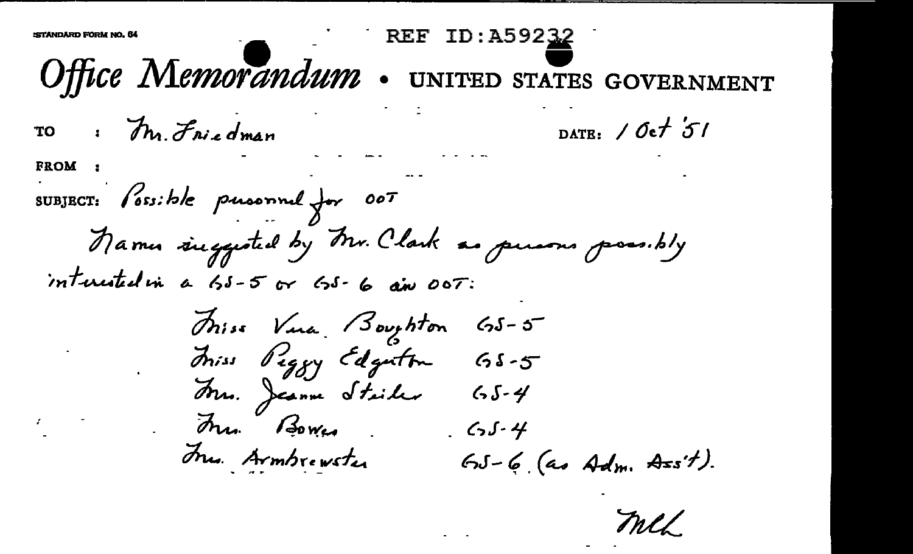REF ID: A59232 Office Memorandum . UNITED STATES GOVERNMENT DATE:  $10-t51$ TO : Mr. Friedman **FROM** SUBJECT: Possible pursonnel for 007 Names suggested by Mr. Clark as persons possibly interested in a 55-5 or 65-6 am 00T: Thiss Vina Boughton 65-5 Thiss Piggy Edgation 65-5 Arro. Jeanne Stailer 65-4 Jun Bower<br>Jun Armbrewster GJ-6 (as Adm. A=s't).